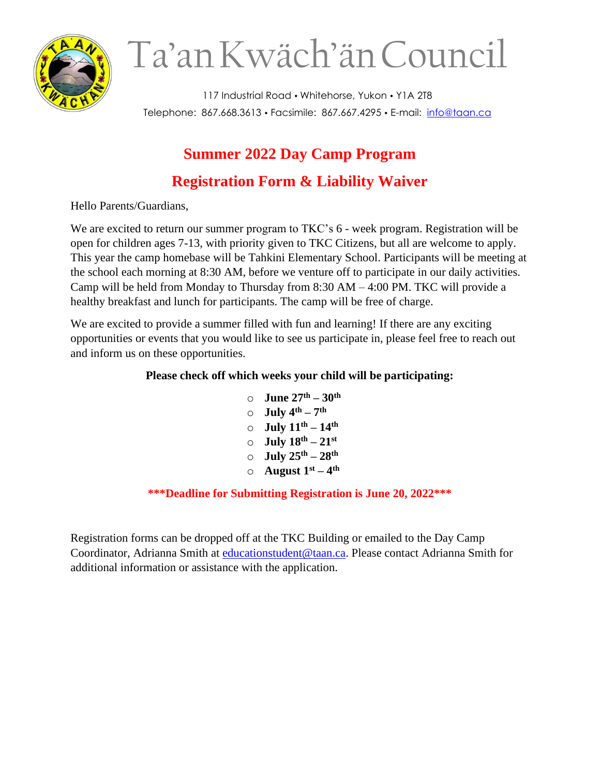

# Ta'anKwäch'änCouncil

117 Industrial Road • Whitehorse, Yukon • Y1A 2T8 Telephone: 867.668.3613 Facsimile: 867.667.4295 E-mail: [info@taan.ca](mailto:info@taan.ca)

# **Summer 2022 Day Camp Program Registration Form & Liability Waiver**

Hello Parents/Guardians,

We are excited to return our summer program to TKC's 6 - week program. Registration will be open for children ages 7-13, with priority given to TKC Citizens, but all are welcome to apply. This year the camp homebase will be Tahkini Elementary School. Participants will be meeting at the school each morning at 8:30 AM, before we venture off to participate in our daily activities. Camp will be held from Monday to Thursday from 8:30 AM – 4:00 PM. TKC will provide a healthy breakfast and lunch for participants. The camp will be free of charge.

We are excited to provide a summer filled with fun and learning! If there are any exciting opportunities or events that you would like to see us participate in, please feel free to reach out and inform us on these opportunities.

### **Please check off which weeks your child will be participating:**

o **June 27th – 30th**  $\circ$  **July 4<sup>th</sup> – 7<sup>th</sup>** o **July 11th – 14th**  $\circ$  **July 18**<sup>th</sup> – 21<sup>st</sup>  $\circ$  **July**  $25^{\text{th}} - 28^{\text{th}}$  $\circ$  **August**  $1^{\text{st}} - 4^{\text{th}}$ 

#### **\*\*\*Deadline for Submitting Registration is June 20, 2022\*\*\***

Registration forms can be dropped off at the TKC Building or emailed to the Day Camp Coordinator, Adrianna Smith at [educationstudent@taan.ca.](mailto:educationstudent@taan.ca) Please contact Adrianna Smith for additional information or assistance with the application.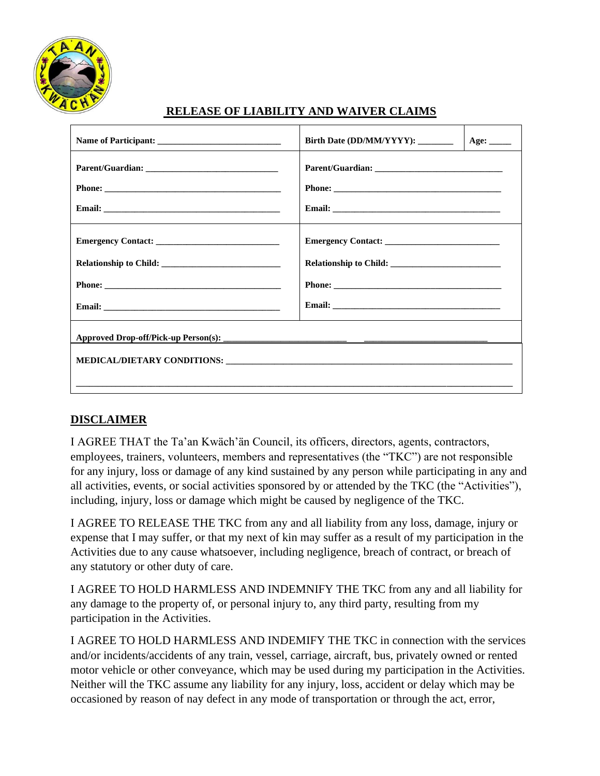

#### **RELEASE OF LIABILITY AND WAIVER CLAIMS**

| Name of Participant:   | Birth Date (DD/MM/YYYY):     Age: |  |
|------------------------|-----------------------------------|--|
|                        |                                   |  |
|                        |                                   |  |
|                        |                                   |  |
|                        |                                   |  |
| Relationship to Child: |                                   |  |
|                        |                                   |  |
|                        |                                   |  |
|                        |                                   |  |

#### **DISCLAIMER**

I AGREE THAT the Ta'an Kwäch'än Council, its officers, directors, agents, contractors, employees, trainers, volunteers, members and representatives (the "TKC") are not responsible for any injury, loss or damage of any kind sustained by any person while participating in any and all activities, events, or social activities sponsored by or attended by the TKC (the "Activities"), including, injury, loss or damage which might be caused by negligence of the TKC.

I AGREE TO RELEASE THE TKC from any and all liability from any loss, damage, injury or expense that I may suffer, or that my next of kin may suffer as a result of my participation in the Activities due to any cause whatsoever, including negligence, breach of contract, or breach of any statutory or other duty of care.

I AGREE TO HOLD HARMLESS AND INDEMNIFY THE TKC from any and all liability for any damage to the property of, or personal injury to, any third party, resulting from my participation in the Activities.

I AGREE TO HOLD HARMLESS AND INDEMIFY THE TKC in connection with the services and/or incidents/accidents of any train, vessel, carriage, aircraft, bus, privately owned or rented motor vehicle or other conveyance, which may be used during my participation in the Activities. Neither will the TKC assume any liability for any injury, loss, accident or delay which may be occasioned by reason of nay defect in any mode of transportation or through the act, error,